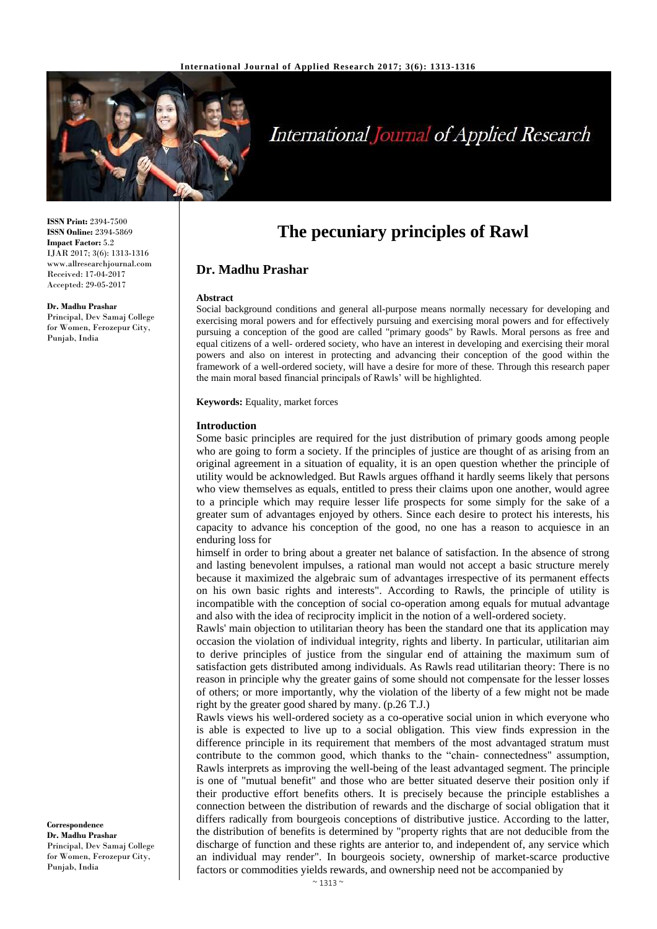

# **International Journal of Applied Research**

**ISSN Print:** 2394-7500 **ISSN Online:** 2394-5869 **Impact Factor:** 5.2 IJAR 2017; 3(6): 1313-1316 www.allresearchjournal.com Received: 17-04-2017 Accepted: 29-05-2017

**Dr. Madhu Prashar** Principal, Dev Samaj College

for Women, Ferozepur City, Punjab, India

**The pecuniary principles of Rawl**

## **Dr. Madhu Prashar**

#### **Abstract**

Social background conditions and general all-purpose means normally necessary for developing and exercising moral powers and for effectively pursuing and exercising moral powers and for effectively pursuing a conception of the good are called "primary goods" by Rawls. Moral persons as free and equal citizens of a well- ordered society, who have an interest in developing and exercising their moral powers and also on interest in protecting and advancing their conception of the good within the framework of a well-ordered society, will have a desire for more of these. Through this research paper the main moral based financial principals of Rawls' will be highlighted.

**Keywords:** Equality, market forces

#### **Introduction**

Some basic principles are required for the just distribution of primary goods among people who are going to form a society. If the principles of justice are thought of as arising from an original agreement in a situation of equality, it is an open question whether the principle of utility would be acknowledged. But Rawls argues offhand it hardly seems likely that persons who view themselves as equals, entitled to press their claims upon one another, would agree to a principle which may require lesser life prospects for some simply for the sake of a greater sum of advantages enjoyed by others. Since each desire to protect his interests, his capacity to advance his conception of the good, no one has a reason to acquiesce in an enduring loss for

himself in order to bring about a greater net balance of satisfaction. In the absence of strong and lasting benevolent impulses, a rational man would not accept a basic structure merely because it maximized the algebraic sum of advantages irrespective of its permanent effects on his own basic rights and interests". According to Rawls, the principle of utility is incompatible with the conception of social co-operation among equals for mutual advantage and also with the idea of reciprocity implicit in the notion of a well-ordered society.

Rawls' main objection to utilitarian theory has been the standard one that its application may occasion the violation of individual integrity, rights and liberty. In particular, utilitarian aim to derive principles of justice from the singular end of attaining the maximum sum of satisfaction gets distributed among individuals. As Rawls read utilitarian theory: There is no reason in principle why the greater gains of some should not compensate for the lesser losses of others; or more importantly, why the violation of the liberty of a few might not be made right by the greater good shared by many. (p.26 T.J.)

Rawls views his well-ordered society as a co-operative social union in which everyone who is able is expected to live up to a social obligation. This view finds expression in the difference principle in its requirement that members of the most advantaged stratum must contribute to the common good, which thanks to the "chain- connectedness" assumption, Rawls interprets as improving the well-being of the least advantaged segment. The principle is one of "mutual benefit" and those who are better situated deserve their position only if their productive effort benefits others. It is precisely because the principle establishes a connection between the distribution of rewards and the discharge of social obligation that it differs radically from bourgeois conceptions of distributive justice. According to the latter, the distribution of benefits is determined by "property rights that are not deducible from the discharge of function and these rights are anterior to, and independent of, any service which an individual may render". In bourgeois society, ownership of market-scarce productive factors or commodities yields rewards, and ownership need not be accompanied by

**Correspondence Dr. Madhu Prashar** Principal, Dev Samaj College for Women, Ferozepur City, Punjab, India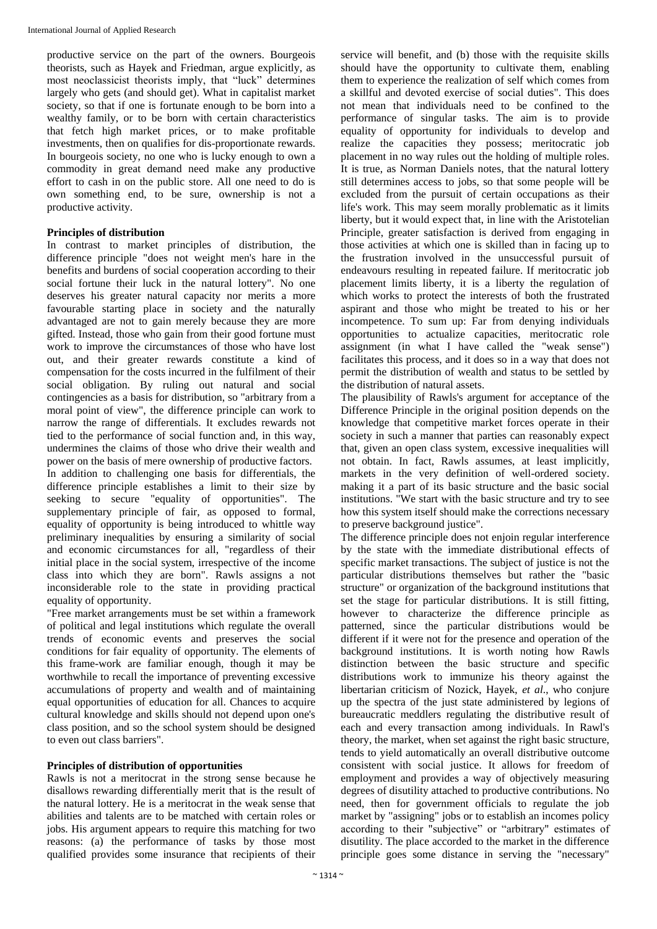productive service on the part of the owners. Bourgeois theorists, such as Hayek and Friedman, argue explicitly, as most neoclassicist theorists imply, that "luck" determines largely who gets (and should get). What in capitalist market society, so that if one is fortunate enough to be born into a wealthy family, or to be born with certain characteristics that fetch high market prices, or to make profitable investments, then on qualifies for dis-proportionate rewards. In bourgeois society, no one who is lucky enough to own a commodity in great demand need make any productive effort to cash in on the public store. All one need to do is own something end, to be sure, ownership is not a productive activity.

## **Principles of distribution**

In contrast to market principles of distribution, the difference principle "does not weight men's hare in the benefits and burdens of social cooperation according to their social fortune their luck in the natural lottery". No one deserves his greater natural capacity nor merits a more favourable starting place in society and the naturally advantaged are not to gain merely because they are more gifted. Instead, those who gain from their good fortune must work to improve the circumstances of those who have lost out, and their greater rewards constitute a kind of compensation for the costs incurred in the fulfilment of their social obligation. By ruling out natural and social contingencies as a basis for distribution, so "arbitrary from a moral point of view", the difference principle can work to narrow the range of differentials. It excludes rewards not tied to the performance of social function and, in this way, undermines the claims of those who drive their wealth and power on the basis of mere ownership of productive factors. In addition to challenging one basis for differentials, the difference principle establishes a limit to their size by seeking to secure "equality of opportunities". The supplementary principle of fair, as opposed to formal, equality of opportunity is being introduced to whittle way preliminary inequalities by ensuring a similarity of social and economic circumstances for all, "regardless of their initial place in the social system, irrespective of the income class into which they are born". Rawls assigns a not inconsiderable role to the state in providing practical equality of opportunity.

"Free market arrangements must be set within a framework of political and legal institutions which regulate the overall trends of economic events and preserves the social conditions for fair equality of opportunity. The elements of this frame-work are familiar enough, though it may be worthwhile to recall the importance of preventing excessive accumulations of property and wealth and of maintaining equal opportunities of education for all. Chances to acquire cultural knowledge and skills should not depend upon one's class position, and so the school system should be designed to even out class barriers".

## **Principles of distribution of opportunities**

Rawls is not a meritocrat in the strong sense because he disallows rewarding differentially merit that is the result of the natural lottery. He is a meritocrat in the weak sense that abilities and talents are to be matched with certain roles or jobs. His argument appears to require this matching for two reasons: (a) the performance of tasks by those most qualified provides some insurance that recipients of their

service will benefit, and (b) those with the requisite skills should have the opportunity to cultivate them, enabling them to experience the realization of self which comes from a skillful and devoted exercise of social duties". This does not mean that individuals need to be confined to the performance of singular tasks. The aim is to provide equality of opportunity for individuals to develop and realize the capacities they possess; meritocratic job placement in no way rules out the holding of multiple roles. It is true, as Norman Daniels notes, that the natural lottery still determines access to jobs, so that some people will be excluded from the pursuit of certain occupations as their life's work. This may seem morally problematic as it limits liberty, but it would expect that, in line with the Aristotelian Principle, greater satisfaction is derived from engaging in those activities at which one is skilled than in facing up to the frustration involved in the unsuccessful pursuit of endeavours resulting in repeated failure. If meritocratic job placement limits liberty, it is a liberty the regulation of which works to protect the interests of both the frustrated aspirant and those who might be treated to his or her incompetence. To sum up: Far from denying individuals opportunities to actualize capacities, meritocratic role assignment (in what I have called the "weak sense") facilitates this process, and it does so in a way that does not permit the distribution of wealth and status to be settled by the distribution of natural assets.

The plausibility of Rawls's argument for acceptance of the Difference Principle in the original position depends on the knowledge that competitive market forces operate in their society in such a manner that parties can reasonably expect that, given an open class system, excessive inequalities will not obtain. In fact, Rawls assumes, at least implicitly, markets in the very definition of well-ordered society. making it a part of its basic structure and the basic social institutions. "We start with the basic structure and try to see how this system itself should make the corrections necessary to preserve background justice".

The difference principle does not enjoin regular interference by the state with the immediate distributional effects of specific market transactions. The subject of justice is not the particular distributions themselves but rather the "basic structure" or organization of the background institutions that set the stage for particular distributions. It is still fitting, however to characterize the difference principle as patterned, since the particular distributions would be different if it were not for the presence and operation of the background institutions. It is worth noting how Rawls distinction between the basic structure and specific distributions work to immunize his theory against the libertarian criticism of Nozick, Hayek, *et al*., who conjure up the spectra of the just state administered by legions of bureaucratic meddlers regulating the distributive result of each and every transaction among individuals. In Rawl's theory, the market, when set against the right basic structure, tends to yield automatically an overall distributive outcome consistent with social justice. It allows for freedom of employment and provides a way of objectively measuring degrees of disutility attached to productive contributions. No need, then for government officials to regulate the job market by "assigning" jobs or to establish an incomes policy according to their "subjective" or "arbitrary" estimates of disutility. The place accorded to the market in the difference principle goes some distance in serving the "necessary"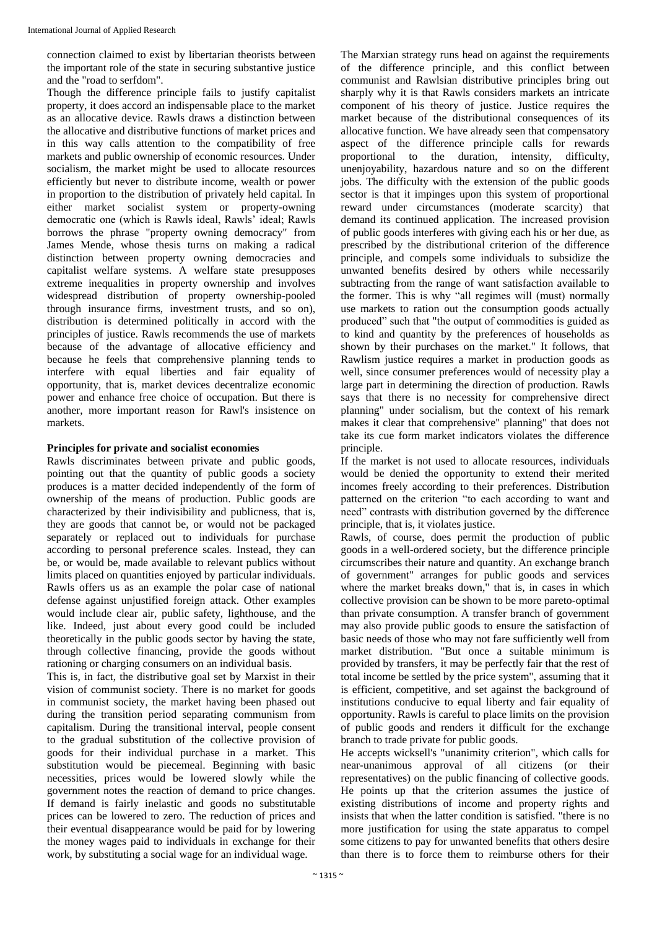connection claimed to exist by libertarian theorists between the important role of the state in securing substantive justice and the "road to serfdom".

Though the difference principle fails to justify capitalist property, it does accord an indispensable place to the market as an allocative device. Rawls draws a distinction between the allocative and distributive functions of market prices and in this way calls attention to the compatibility of free markets and public ownership of economic resources. Under socialism, the market might be used to allocate resources efficiently but never to distribute income, wealth or power in proportion to the distribution of privately held capital. In either market socialist system or property-owning democratic one (which is Rawls ideal, Rawls' ideal; Rawls borrows the phrase "property owning democracy" from James Mende, whose thesis turns on making a radical distinction between property owning democracies and capitalist welfare systems. A welfare state presupposes extreme inequalities in property ownership and involves widespread distribution of property ownership-pooled through insurance firms, investment trusts, and so on), distribution is determined politically in accord with the principles of justice. Rawls recommends the use of markets because of the advantage of allocative efficiency and because he feels that comprehensive planning tends to interfere with equal liberties and fair equality of opportunity, that is, market devices decentralize economic power and enhance free choice of occupation. But there is another, more important reason for Rawl's insistence on markets.

## **Principles for private and socialist economies**

Rawls discriminates between private and public goods, pointing out that the quantity of public goods a society produces is a matter decided independently of the form of ownership of the means of production. Public goods are characterized by their indivisibility and publicness, that is, they are goods that cannot be, or would not be packaged separately or replaced out to individuals for purchase according to personal preference scales. Instead, they can be, or would be, made available to relevant publics without limits placed on quantities enjoyed by particular individuals. Rawls offers us as an example the polar case of national defense against unjustified foreign attack. Other examples would include clear air, public safety, lighthouse, and the like. Indeed, just about every good could be included theoretically in the public goods sector by having the state, through collective financing, provide the goods without rationing or charging consumers on an individual basis.

This is, in fact, the distributive goal set by Marxist in their vision of communist society. There is no market for goods in communist society, the market having been phased out during the transition period separating communism from capitalism. During the transitional interval, people consent to the gradual substitution of the collective provision of goods for their individual purchase in a market. This substitution would be piecemeal. Beginning with basic necessities, prices would be lowered slowly while the government notes the reaction of demand to price changes. If demand is fairly inelastic and goods no substitutable prices can be lowered to zero. The reduction of prices and their eventual disappearance would be paid for by lowering the money wages paid to individuals in exchange for their work, by substituting a social wage for an individual wage.

The Marxian strategy runs head on against the requirements of the difference principle, and this conflict between communist and Rawlsian distributive principles bring out sharply why it is that Rawls considers markets an intricate component of his theory of justice. Justice requires the market because of the distributional consequences of its allocative function. We have already seen that compensatory aspect of the difference principle calls for rewards proportional to the duration, intensity, difficulty, unenjoyability, hazardous nature and so on the different jobs. The difficulty with the extension of the public goods sector is that it impinges upon this system of proportional reward under circumstances (moderate scarcity) that demand its continued application. The increased provision of public goods interferes with giving each his or her due, as prescribed by the distributional criterion of the difference principle, and compels some individuals to subsidize the unwanted benefits desired by others while necessarily subtracting from the range of want satisfaction available to the former. This is why "all regimes will (must) normally use markets to ration out the consumption goods actually produced" such that "the output of commodities is guided as to kind and quantity by the preferences of households as shown by their purchases on the market." It follows, that Rawlism justice requires a market in production goods as well, since consumer preferences would of necessity play a large part in determining the direction of production. Rawls says that there is no necessity for comprehensive direct planning" under socialism, but the context of his remark makes it clear that comprehensive" planning" that does not take its cue form market indicators violates the difference principle.

If the market is not used to allocate resources, individuals would be denied the opportunity to extend their merited incomes freely according to their preferences. Distribution patterned on the criterion "to each according to want and need" contrasts with distribution governed by the difference principle, that is, it violates justice.

Rawls, of course, does permit the production of public goods in a well-ordered society, but the difference principle circumscribes their nature and quantity. An exchange branch of government" arranges for public goods and services where the market breaks down," that is, in cases in which collective provision can be shown to be more pareto-optimal than private consumption. A transfer branch of government may also provide public goods to ensure the satisfaction of basic needs of those who may not fare sufficiently well from market distribution. "But once a suitable minimum is provided by transfers, it may be perfectly fair that the rest of total income be settled by the price system", assuming that it is efficient, competitive, and set against the background of institutions conducive to equal liberty and fair equality of opportunity. Rawls is careful to place limits on the provision of public goods and renders it difficult for the exchange branch to trade private for public goods.

He accepts wicksell's "unanimity criterion", which calls for near-unanimous approval of all citizens (or their representatives) on the public financing of collective goods. He points up that the criterion assumes the justice of existing distributions of income and property rights and insists that when the latter condition is satisfied. "there is no more justification for using the state apparatus to compel some citizens to pay for unwanted benefits that others desire than there is to force them to reimburse others for their